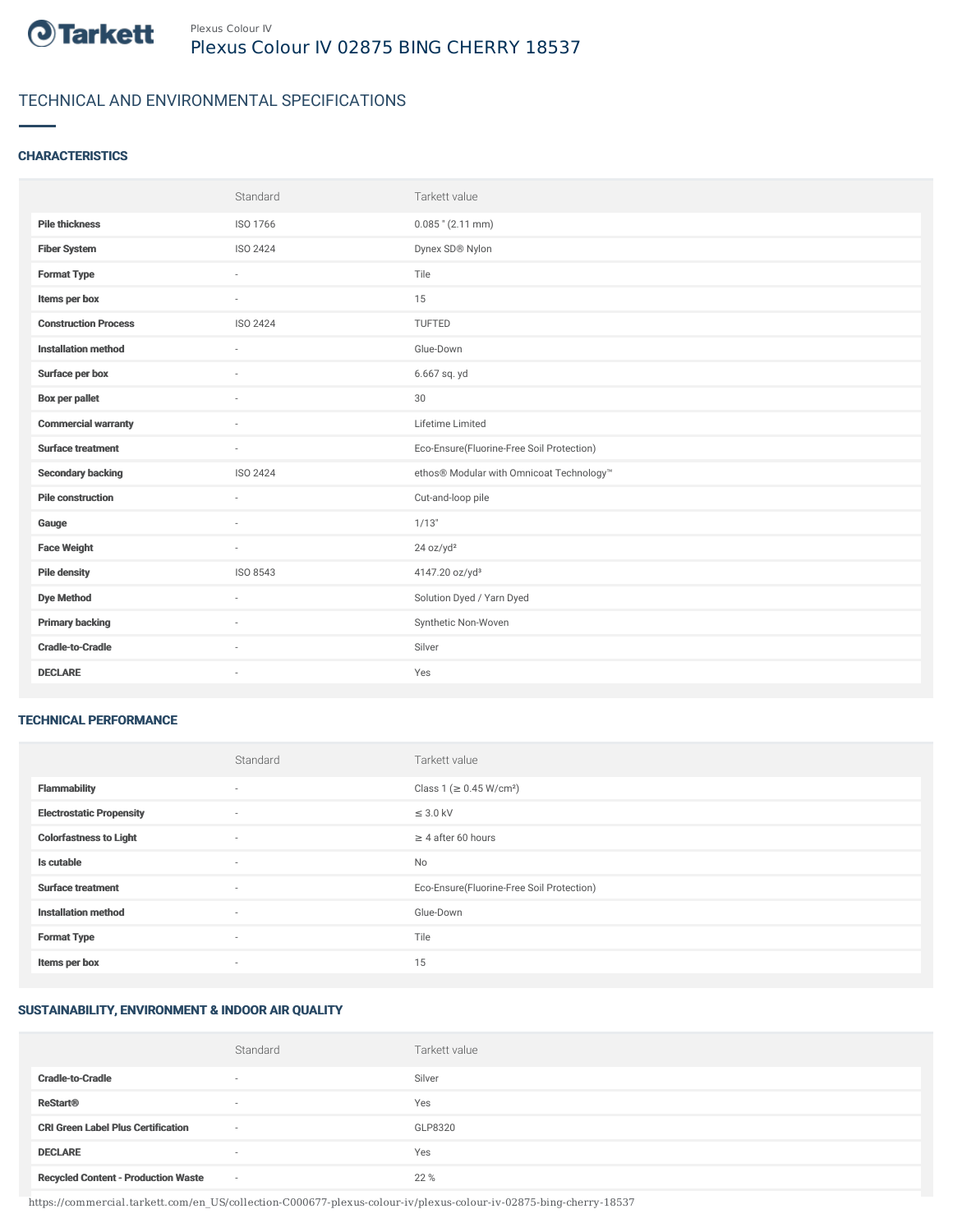

# TECHNICAL AND ENVIRONMENTAL SPECIFICATIONS

### **CHARACTERISTICS**

|                             | Standard | Tarkett value                             |
|-----------------------------|----------|-------------------------------------------|
| <b>Pile thickness</b>       | ISO 1766 | $0.085$ " (2.11 mm)                       |
| <b>Fiber System</b>         | ISO 2424 | Dynex SD® Nylon                           |
| <b>Format Type</b>          | ×.       | Tile                                      |
| Items per box               | $\sim$   | 15                                        |
| <b>Construction Process</b> | ISO 2424 | TUFTED                                    |
| <b>Installation method</b>  | $\sim$   | Glue-Down                                 |
| Surface per box             | $\sim$   | 6.667 sq. yd                              |
| <b>Box per pallet</b>       | ×.       | 30                                        |
| <b>Commercial warranty</b>  | $\sim$   | Lifetime Limited                          |
| <b>Surface treatment</b>    | $\sim$   | Eco-Ensure(Fluorine-Free Soil Protection) |
| <b>Secondary backing</b>    | ISO 2424 | ethos® Modular with Omnicoat Technology™  |
| <b>Pile construction</b>    | ÷        | Cut-and-loop pile                         |
| Gauge                       | ×.       | 1/13"                                     |
| <b>Face Weight</b>          | $\sim$   | 24 oz/yd <sup>2</sup>                     |
| <b>Pile density</b>         | ISO 8543 | 4147.20 oz/yd <sup>3</sup>                |
| <b>Dye Method</b>           | $\sim$   | Solution Dyed / Yarn Dyed                 |
| <b>Primary backing</b>      | $\sim$   | Synthetic Non-Woven                       |
| <b>Cradle-to-Cradle</b>     |          | Silver                                    |
| <b>DECLARE</b>              | $\sim$   | Yes                                       |

#### TECHNICAL PERFORMANCE

|                                 | Standard                 | Tarkett value                             |
|---------------------------------|--------------------------|-------------------------------------------|
| <b>Flammability</b>             | $\overline{\phantom{a}}$ | Class 1 (≥ 0.45 W/cm <sup>2</sup> )       |
| <b>Electrostatic Propensity</b> | $\sim$                   | $\leq$ 3.0 kV                             |
| <b>Colorfastness to Light</b>   | ٠                        | $\geq 4$ after 60 hours                   |
| Is cutable                      | $\sim$                   | No                                        |
| <b>Surface treatment</b>        | $\sim$                   | Eco-Ensure(Fluorine-Free Soil Protection) |
| <b>Installation method</b>      | $\overline{\phantom{a}}$ | Glue-Down                                 |
| <b>Format Type</b>              | $\sim$                   | Tile                                      |
| Items per box                   | $\overline{\phantom{a}}$ | 15                                        |

## SUSTAINABILITY, ENVIRONMENT & INDOOR AIR QUALITY

|                                            | Standard                 | Tarkett value |
|--------------------------------------------|--------------------------|---------------|
| <b>Cradle-to-Cradle</b>                    | $\overline{\phantom{a}}$ | Silver        |
| <b>ReStart®</b>                            | $\overline{\phantom{a}}$ | Yes           |
| <b>CRI Green Label Plus Certification</b>  | $\sim$                   | GLP8320       |
| <b>DECLARE</b>                             | $\sim$                   | Yes           |
| <b>Recycled Content - Production Waste</b> | $\sim$                   | 22 %          |

https://commercial.tarkett.com/en\_US/collection-C000677-plexus-colour-iv/plexus-colour-iv-02875-bing-cherry-18537